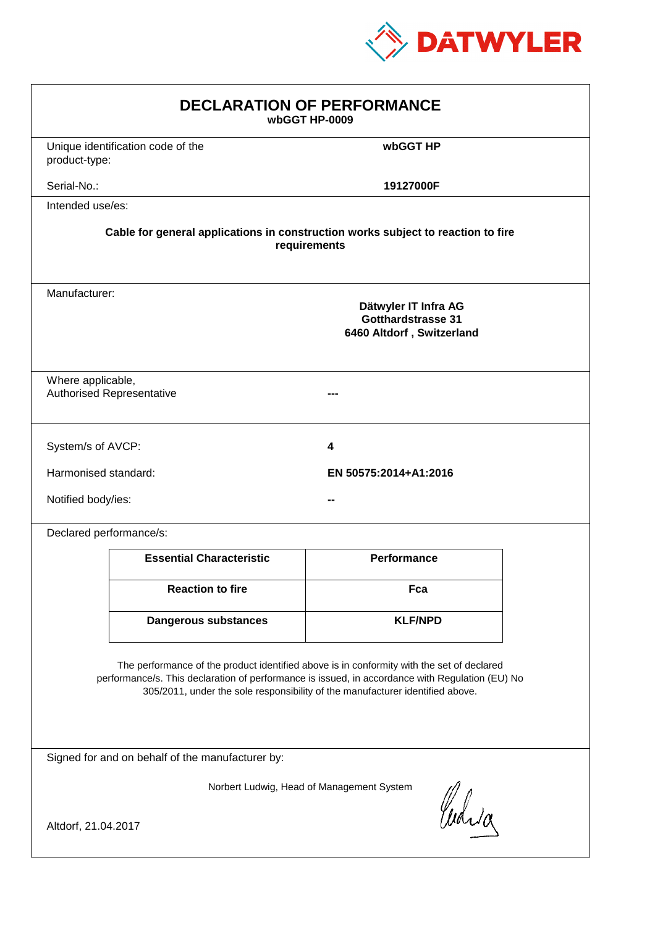

| <b>DECLARATION OF PERFORMANCE</b><br>wbGGT HP-0009                                                                                                                                                                                                                            |                                                                                          |                       |  |  |  |
|-------------------------------------------------------------------------------------------------------------------------------------------------------------------------------------------------------------------------------------------------------------------------------|------------------------------------------------------------------------------------------|-----------------------|--|--|--|
| product-type:                                                                                                                                                                                                                                                                 | Unique identification code of the                                                        | wbGGT HP              |  |  |  |
| Serial-No.:                                                                                                                                                                                                                                                                   |                                                                                          | 19127000F             |  |  |  |
| Intended use/es:                                                                                                                                                                                                                                                              |                                                                                          |                       |  |  |  |
| Cable for general applications in construction works subject to reaction to fire<br>requirements                                                                                                                                                                              |                                                                                          |                       |  |  |  |
|                                                                                                                                                                                                                                                                               | Manufacturer:<br>Dätwyler IT Infra AG<br>Gotthardstrasse 31<br>6460 Altdorf, Switzerland |                       |  |  |  |
|                                                                                                                                                                                                                                                                               | Where applicable,<br><b>Authorised Representative</b>                                    |                       |  |  |  |
| System/s of AVCP:                                                                                                                                                                                                                                                             |                                                                                          | 4                     |  |  |  |
| Harmonised standard:                                                                                                                                                                                                                                                          |                                                                                          | EN 50575:2014+A1:2016 |  |  |  |
| Notified body/ies:                                                                                                                                                                                                                                                            |                                                                                          |                       |  |  |  |
| Declared performance/s:                                                                                                                                                                                                                                                       |                                                                                          |                       |  |  |  |
|                                                                                                                                                                                                                                                                               | <b>Essential Characteristic</b>                                                          | <b>Performance</b>    |  |  |  |
|                                                                                                                                                                                                                                                                               | <b>Reaction to fire</b>                                                                  | Fca                   |  |  |  |
|                                                                                                                                                                                                                                                                               | <b>Dangerous substances</b>                                                              | <b>KLF/NPD</b>        |  |  |  |
| The performance of the product identified above is in conformity with the set of declared<br>performance/s. This declaration of performance is issued, in accordance with Regulation (EU) No<br>305/2011, under the sole responsibility of the manufacturer identified above. |                                                                                          |                       |  |  |  |
| Signed for and on behalf of the manufacturer by:                                                                                                                                                                                                                              |                                                                                          |                       |  |  |  |
| Norbert Ludwig, Head of Management System<br>Curia                                                                                                                                                                                                                            |                                                                                          |                       |  |  |  |
| Altdorf, 21.04.2017                                                                                                                                                                                                                                                           |                                                                                          |                       |  |  |  |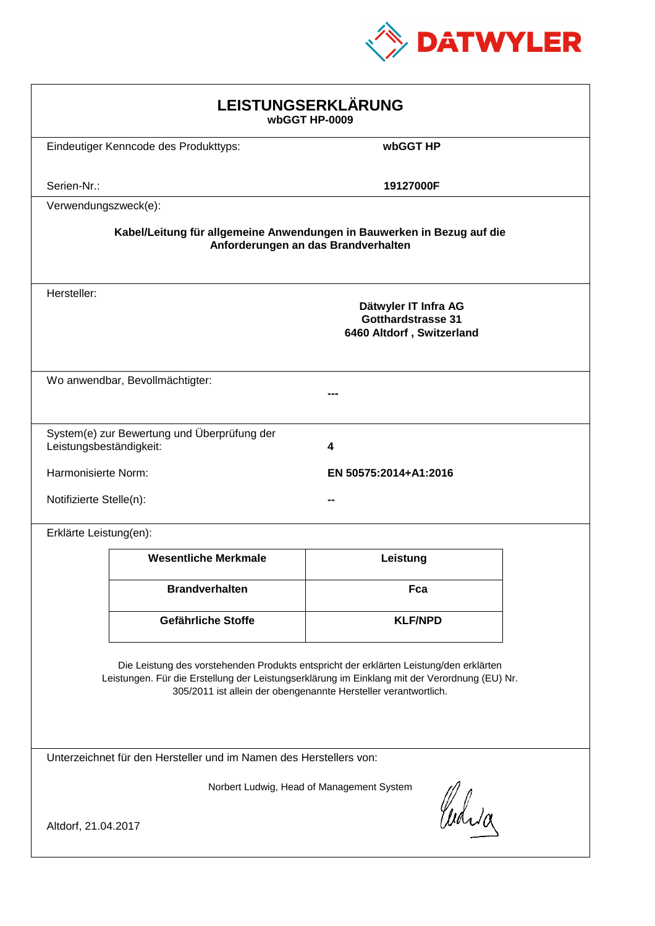

| LEISTUNGSERKLÄRUNG<br>wbGGT HP-0009                                                                                                                                                                                                                        |                                                                        |                                     |  |  |
|------------------------------------------------------------------------------------------------------------------------------------------------------------------------------------------------------------------------------------------------------------|------------------------------------------------------------------------|-------------------------------------|--|--|
|                                                                                                                                                                                                                                                            | Eindeutiger Kenncode des Produkttyps:                                  | wbGGT HP                            |  |  |
| Serien-Nr.:                                                                                                                                                                                                                                                |                                                                        | 19127000F                           |  |  |
| Verwendungszweck(e):                                                                                                                                                                                                                                       |                                                                        |                                     |  |  |
|                                                                                                                                                                                                                                                            | Kabel/Leitung für allgemeine Anwendungen in Bauwerken in Bezug auf die | Anforderungen an das Brandverhalten |  |  |
| Hersteller:<br>Dätwyler IT Infra AG<br><b>Gotthardstrasse 31</b><br>6460 Altdorf, Switzerland                                                                                                                                                              |                                                                        |                                     |  |  |
|                                                                                                                                                                                                                                                            | Wo anwendbar, Bevollmächtigter:                                        |                                     |  |  |
| Leistungsbeständigkeit:                                                                                                                                                                                                                                    | System(e) zur Bewertung und Überprüfung der                            | 4                                   |  |  |
| Harmonisierte Norm:<br>EN 50575:2014+A1:2016                                                                                                                                                                                                               |                                                                        |                                     |  |  |
|                                                                                                                                                                                                                                                            | Notifizierte Stelle(n):                                                |                                     |  |  |
| Erklärte Leistung(en):                                                                                                                                                                                                                                     |                                                                        |                                     |  |  |
|                                                                                                                                                                                                                                                            | <b>Wesentliche Merkmale</b>                                            | Leistung                            |  |  |
|                                                                                                                                                                                                                                                            | <b>Brandverhalten</b>                                                  | Fca                                 |  |  |
|                                                                                                                                                                                                                                                            | Gefährliche Stoffe                                                     | <b>KLF/NPD</b>                      |  |  |
| Die Leistung des vorstehenden Produkts entspricht der erklärten Leistung/den erklärten<br>Leistungen. Für die Erstellung der Leistungserklärung im Einklang mit der Verordnung (EU) Nr.<br>305/2011 ist allein der obengenannte Hersteller verantwortlich. |                                                                        |                                     |  |  |
|                                                                                                                                                                                                                                                            | Unterzeichnet für den Hersteller und im Namen des Herstellers von:     |                                     |  |  |
| Norbert Ludwig, Head of Management System<br>Whila<br>Altdorf, 21.04.2017                                                                                                                                                                                  |                                                                        |                                     |  |  |
|                                                                                                                                                                                                                                                            |                                                                        |                                     |  |  |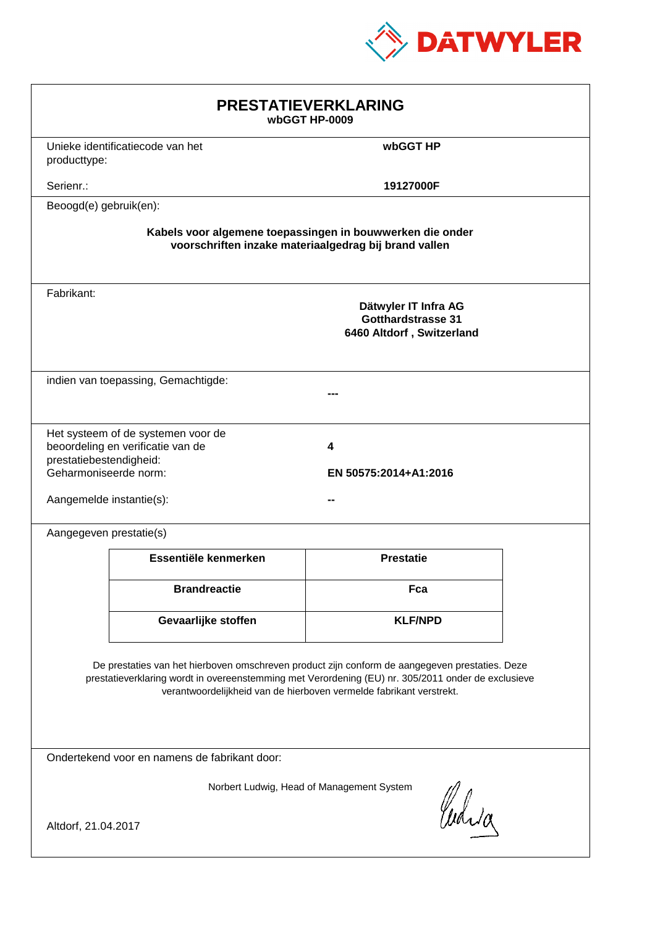

| <b>PRESTATIEVERKLARING</b><br>wbGGT HP-0009                                                                                                                                                                                                                                 |                                                                         |                                                                         |  |  |
|-----------------------------------------------------------------------------------------------------------------------------------------------------------------------------------------------------------------------------------------------------------------------------|-------------------------------------------------------------------------|-------------------------------------------------------------------------|--|--|
| producttype:                                                                                                                                                                                                                                                                | Unieke identificatiecode van het                                        | wbGGT HP                                                                |  |  |
| Serienr.:                                                                                                                                                                                                                                                                   |                                                                         | 19127000F                                                               |  |  |
| Beoogd(e) gebruik(en):                                                                                                                                                                                                                                                      |                                                                         |                                                                         |  |  |
| Kabels voor algemene toepassingen in bouwwerken die onder<br>voorschriften inzake materiaalgedrag bij brand vallen                                                                                                                                                          |                                                                         |                                                                         |  |  |
| Fabrikant:                                                                                                                                                                                                                                                                  |                                                                         | Dätwyler IT Infra AG<br>Gotthardstrasse 31<br>6460 Altdorf, Switzerland |  |  |
|                                                                                                                                                                                                                                                                             | indien van toepassing, Gemachtigde:                                     |                                                                         |  |  |
| prestatiebestendigheid:<br>Geharmoniseerde norm:<br>Aangemelde instantie(s):                                                                                                                                                                                                | Het systeem of de systemen voor de<br>beoordeling en verificatie van de | 4<br>EN 50575:2014+A1:2016                                              |  |  |
| Aangegeven prestatie(s)                                                                                                                                                                                                                                                     |                                                                         |                                                                         |  |  |
|                                                                                                                                                                                                                                                                             | Essentiële kenmerken                                                    | <b>Prestatie</b>                                                        |  |  |
|                                                                                                                                                                                                                                                                             | <b>Brandreactie</b>                                                     | Fca                                                                     |  |  |
|                                                                                                                                                                                                                                                                             | Gevaarlijke stoffen                                                     | <b>KLF/NPD</b>                                                          |  |  |
| De prestaties van het hierboven omschreven product zijn conform de aangegeven prestaties. Deze<br>prestatieverklaring wordt in overeenstemming met Verordening (EU) nr. 305/2011 onder de exclusieve<br>verantwoordelijkheid van de hierboven vermelde fabrikant verstrekt. |                                                                         |                                                                         |  |  |
| Ondertekend voor en namens de fabrikant door:                                                                                                                                                                                                                               |                                                                         |                                                                         |  |  |
| Norbert Ludwig, Head of Management System<br>Curia<br>Altdorf, 21.04.2017                                                                                                                                                                                                   |                                                                         |                                                                         |  |  |
|                                                                                                                                                                                                                                                                             |                                                                         |                                                                         |  |  |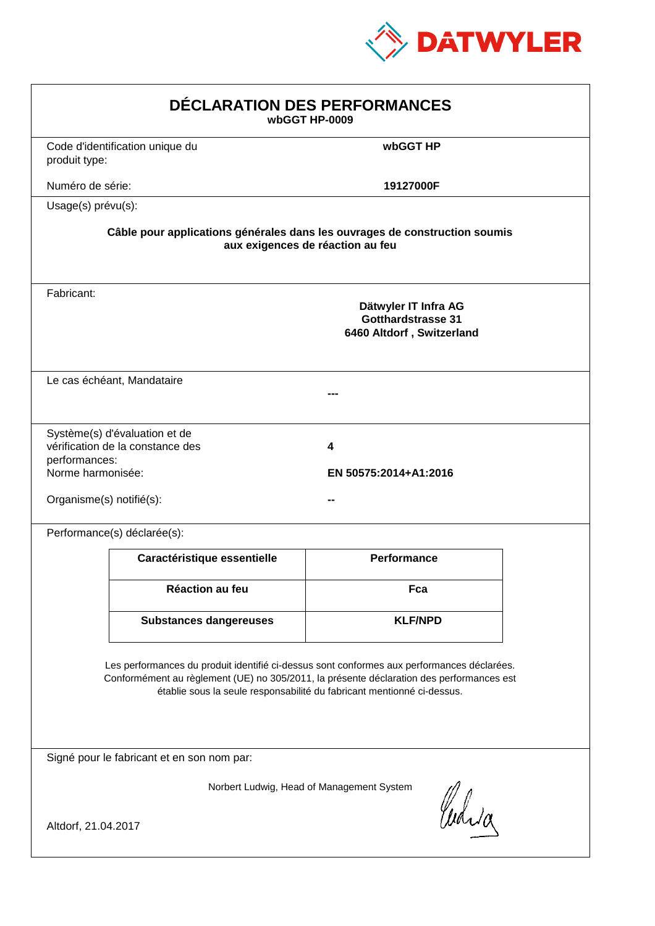

| DÉCLARATION DES PERFORMANCES<br>wbGGT HP-0009                  |                                                                   |                                                                                                                                                                                                                                                                  |  |
|----------------------------------------------------------------|-------------------------------------------------------------------|------------------------------------------------------------------------------------------------------------------------------------------------------------------------------------------------------------------------------------------------------------------|--|
| produit type:                                                  | Code d'identification unique du                                   | wbGGT HP                                                                                                                                                                                                                                                         |  |
| Numéro de série:                                               |                                                                   | 19127000F                                                                                                                                                                                                                                                        |  |
| Usage(s) prévu(s):                                             |                                                                   |                                                                                                                                                                                                                                                                  |  |
|                                                                |                                                                   | Câble pour applications générales dans les ouvrages de construction soumis<br>aux exigences de réaction au feu                                                                                                                                                   |  |
| Fabricant:                                                     |                                                                   | Dätwyler IT Infra AG<br><b>Gotthardstrasse 31</b><br>6460 Altdorf, Switzerland                                                                                                                                                                                   |  |
|                                                                | Le cas échéant, Mandataire                                        |                                                                                                                                                                                                                                                                  |  |
| performances:<br>Norme harmonisée:<br>Organisme(s) notifié(s): | Système(s) d'évaluation et de<br>vérification de la constance des | 4<br>EN 50575:2014+A1:2016                                                                                                                                                                                                                                       |  |
|                                                                | Performance(s) déclarée(s):                                       |                                                                                                                                                                                                                                                                  |  |
|                                                                | Caractéristique essentielle                                       | <b>Performance</b>                                                                                                                                                                                                                                               |  |
|                                                                | <b>Réaction au feu</b>                                            | Fca                                                                                                                                                                                                                                                              |  |
|                                                                | <b>Substances dangereuses</b>                                     | <b>KLF/NPD</b>                                                                                                                                                                                                                                                   |  |
|                                                                |                                                                   | Les performances du produit identifié ci-dessus sont conformes aux performances déclarées.<br>Conformément au règlement (UE) no 305/2011, la présente déclaration des performances est<br>établie sous la seule responsabilité du fabricant mentionné ci-dessus. |  |
|                                                                | Signé pour le fabricant et en son nom par:                        |                                                                                                                                                                                                                                                                  |  |
| Altdorf, 21.04.2017                                            |                                                                   | Norbert Ludwig, Head of Management System<br>Curia                                                                                                                                                                                                               |  |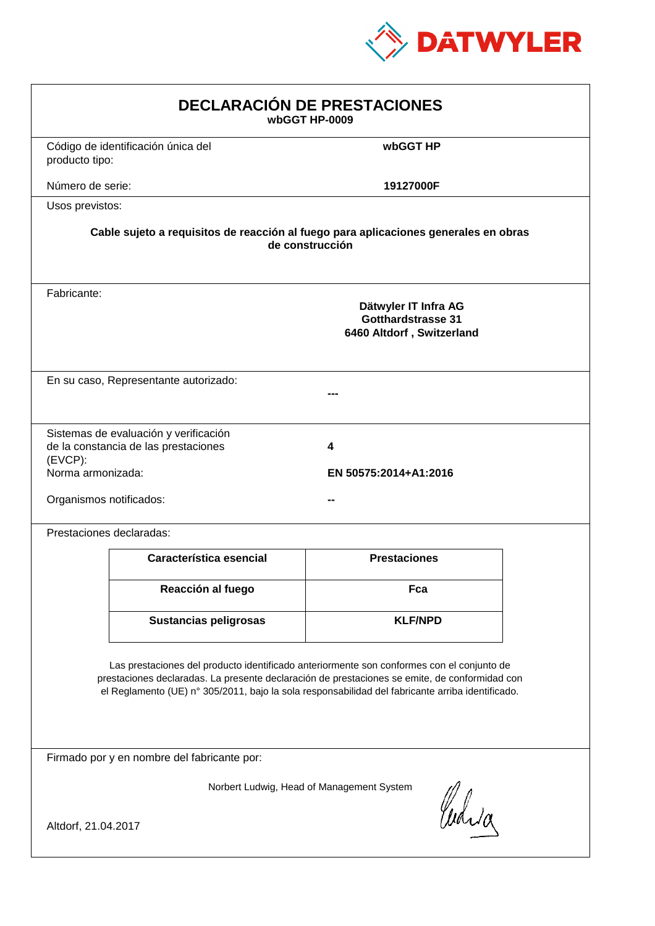

| <b>DECLARACIÓN DE PRESTACIONES</b><br>wbGGT HP-0009                                                                                                                                                                                                                                            |                                                                                                                                                             |                     |  |  |  |
|------------------------------------------------------------------------------------------------------------------------------------------------------------------------------------------------------------------------------------------------------------------------------------------------|-------------------------------------------------------------------------------------------------------------------------------------------------------------|---------------------|--|--|--|
| producto tipo:                                                                                                                                                                                                                                                                                 | Código de identificación única del                                                                                                                          | wbGGT HP            |  |  |  |
| Número de serie:                                                                                                                                                                                                                                                                               |                                                                                                                                                             | 19127000F           |  |  |  |
| Usos previstos:                                                                                                                                                                                                                                                                                |                                                                                                                                                             |                     |  |  |  |
|                                                                                                                                                                                                                                                                                                | Cable sujeto a requisitos de reacción al fuego para aplicaciones generales en obras<br>de construcción                                                      |                     |  |  |  |
| Fabricante:                                                                                                                                                                                                                                                                                    | Dätwyler IT Infra AG<br>Gotthardstrasse 31<br>6460 Altdorf, Switzerland                                                                                     |                     |  |  |  |
|                                                                                                                                                                                                                                                                                                | En su caso, Representante autorizado:                                                                                                                       |                     |  |  |  |
| $(EVCP)$ :                                                                                                                                                                                                                                                                                     | Sistemas de evaluación y verificación<br>de la constancia de las prestaciones<br>4<br>Norma armonizada:<br>EN 50575:2014+A1:2016<br>Organismos notificados: |                     |  |  |  |
|                                                                                                                                                                                                                                                                                                | Prestaciones declaradas:                                                                                                                                    |                     |  |  |  |
|                                                                                                                                                                                                                                                                                                | Característica esencial                                                                                                                                     | <b>Prestaciones</b> |  |  |  |
|                                                                                                                                                                                                                                                                                                | Reacción al fuego                                                                                                                                           | Fca                 |  |  |  |
|                                                                                                                                                                                                                                                                                                | <b>Sustancias peligrosas</b>                                                                                                                                | <b>KLF/NPD</b>      |  |  |  |
| Las prestaciones del producto identificado anteriormente son conformes con el conjunto de<br>prestaciones declaradas. La presente declaración de prestaciones se emite, de conformidad con<br>el Reglamento (UE) nº 305/2011, bajo la sola responsabilidad del fabricante arriba identificado. |                                                                                                                                                             |                     |  |  |  |
| Firmado por y en nombre del fabricante por:                                                                                                                                                                                                                                                    |                                                                                                                                                             |                     |  |  |  |
| Norbert Ludwig, Head of Management System<br>anda<br>Altdorf, 21.04.2017                                                                                                                                                                                                                       |                                                                                                                                                             |                     |  |  |  |